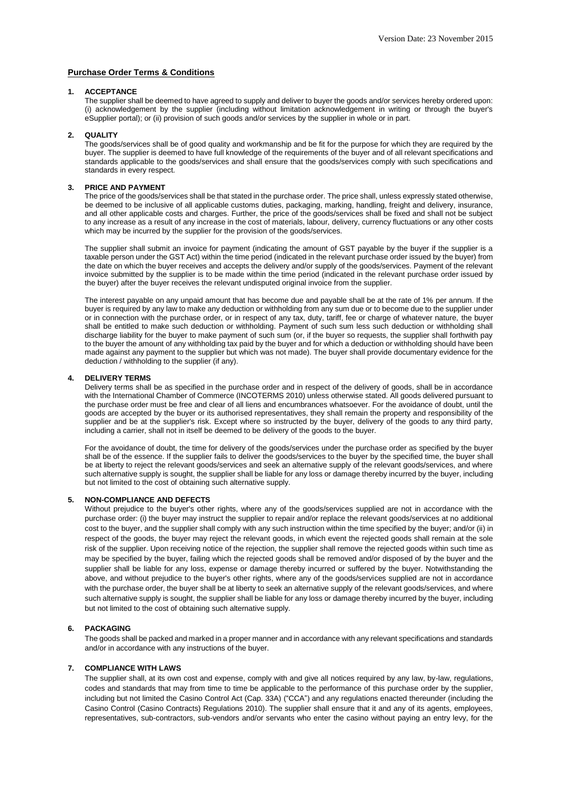# **Purchase Order Terms & Conditions**

#### **1. ACCEPTANCE**

The supplier shall be deemed to have agreed to supply and deliver to buyer the goods and/or services hereby ordered upon: (i) acknowledgement by the supplier (including without limitation acknowledgement in writing or through the buyer's eSupplier portal); or (ii) provision of such goods and/or services by the supplier in whole or in part.

#### **2. QUALITY**

The goods/services shall be of good quality and workmanship and be fit for the purpose for which they are required by the buyer. The supplier is deemed to have full knowledge of the requirements of the buyer and of all relevant specifications and standards applicable to the goods/services and shall ensure that the goods/services comply with such specifications and standards in every respect.

### **3. PRICE AND PAYMENT**

The price of the goods/services shall be that stated in the purchase order. The price shall, unless expressly stated otherwise, be deemed to be inclusive of all applicable customs duties, packaging, marking, handling, freight and delivery, insurance, and all other applicable costs and charges. Further, the price of the goods/services shall be fixed and shall not be subject to any increase as a result of any increase in the cost of materials, labour, delivery, currency fluctuations or any other costs which may be incurred by the supplier for the provision of the goods/services.

The supplier shall submit an invoice for payment (indicating the amount of GST payable by the buyer if the supplier is a taxable person under the GST Act) within the time period (indicated in the relevant purchase order issued by the buyer) from the date on which the buyer receives and accepts the delivery and/or supply of the goods/services. Payment of the relevant invoice submitted by the supplier is to be made within the time period (indicated in the relevant purchase order issued by the buyer) after the buyer receives the relevant undisputed original invoice from the supplier.

The interest payable on any unpaid amount that has become due and payable shall be at the rate of 1% per annum. If the buyer is required by any law to make any deduction or withholding from any sum due or to become due to the supplier under or in connection with the purchase order, or in respect of any tax, duty, tariff, fee or charge of whatever nature, the buyer shall be entitled to make such deduction or withholding. Payment of such sum less such deduction or withholding shall discharge liability for the buyer to make payment of such sum (or, if the buyer so requests, the supplier shall forthwith pay to the buyer the amount of any withholding tax paid by the buyer and for which a deduction or withholding should have been made against any payment to the supplier but which was not made). The buyer shall provide documentary evidence for the deduction / withholding to the supplier (if any).

## **4. DELIVERY TERMS**

Delivery terms shall be as specified in the purchase order and in respect of the delivery of goods, shall be in accordance with the International Chamber of Commerce (INCOTERMS 2010) unless otherwise stated. All goods delivered pursuant to the purchase order must be free and clear of all liens and encumbrances whatsoever. For the avoidance of doubt, until the goods are accepted by the buyer or its authorised representatives, they shall remain the property and responsibility of the supplier and be at the supplier's risk. Except where so instructed by the buyer, delivery of the goods to any third party, including a carrier, shall not in itself be deemed to be delivery of the goods to the buyer.

For the avoidance of doubt, the time for delivery of the goods/services under the purchase order as specified by the buyer shall be of the essence. If the supplier fails to deliver the goods/services to the buyer by the specified time, the buyer shall be at liberty to reject the relevant goods/services and seek an alternative supply of the relevant goods/services, and where such alternative supply is sought, the supplier shall be liable for any loss or damage thereby incurred by the buyer, including but not limited to the cost of obtaining such alternative supply.

## **5. NON-COMPLIANCE AND DEFECTS**

Without prejudice to the buver's other rights, where any of the goods/services supplied are not in accordance with the purchase order: (i) the buyer may instruct the supplier to repair and/or replace the relevant goods/services at no additional cost to the buyer, and the supplier shall comply with any such instruction within the time specified by the buyer; and/or (ii) in respect of the goods, the buyer may reject the relevant goods, in which event the rejected goods shall remain at the sole risk of the supplier. Upon receiving notice of the rejection, the supplier shall remove the rejected goods within such time as may be specified by the buyer, failing which the rejected goods shall be removed and/or disposed of by the buyer and the supplier shall be liable for any loss, expense or damage thereby incurred or suffered by the buyer. Notwithstanding the above, and without prejudice to the buyer's other rights, where any of the goods/services supplied are not in accordance with the purchase order, the buyer shall be at liberty to seek an alternative supply of the relevant goods/services, and where such alternative supply is sought, the supplier shall be liable for any loss or damage thereby incurred by the buyer, including but not limited to the cost of obtaining such alternative supply.

# **6. PACKAGING**

The goods shall be packed and marked in a proper manner and in accordance with any relevant specifications and standards and/or in accordance with any instructions of the buyer.

# **7. COMPLIANCE WITH LAWS**

The supplier shall, at its own cost and expense, comply with and give all notices required by any law, by-law, regulations, codes and standards that may from time to time be applicable to the performance of this purchase order by the supplier, including but not limited the Casino Control Act (Cap. 33A) ("CCA") and any regulations enacted thereunder (including the Casino Control (Casino Contracts) Regulations 2010). The supplier shall ensure that it and any of its agents, employees, representatives, sub-contractors, sub-vendors and/or servants who enter the casino without paying an entry levy, for the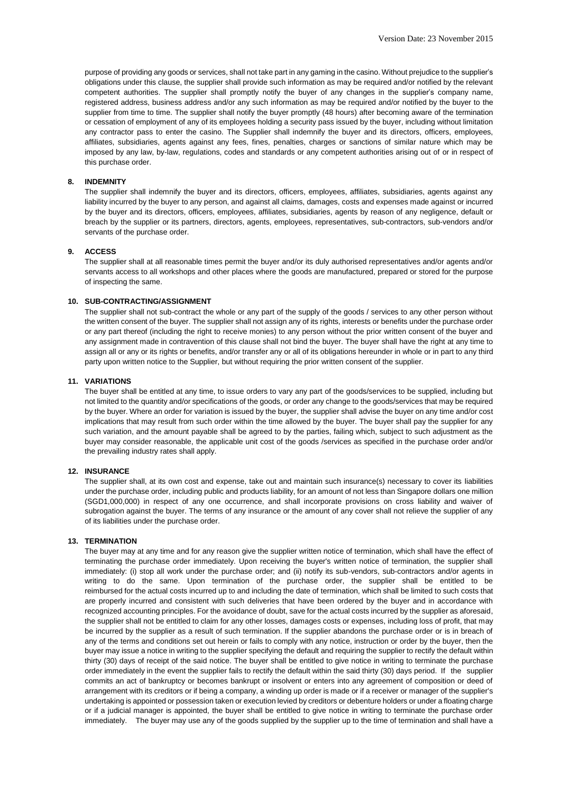purpose of providing any goods or services, shall not take part in any gaming in the casino. Without prejudice to the supplier's obligations under this clause, the supplier shall provide such information as may be required and/or notified by the relevant competent authorities. The supplier shall promptly notify the buyer of any changes in the supplier's company name, registered address, business address and/or any such information as may be required and/or notified by the buyer to the supplier from time to time. The supplier shall notify the buyer promptly (48 hours) after becoming aware of the termination or cessation of employment of any of its employees holding a security pass issued by the buyer, including without limitation any contractor pass to enter the casino. The Supplier shall indemnify the buyer and its directors, officers, employees, affiliates, subsidiaries, agents against any fees, fines, penalties, charges or sanctions of similar nature which may be imposed by any law, by-law, regulations, codes and standards or any competent authorities arising out of or in respect of this purchase order.

# **8. INDEMNITY**

The supplier shall indemnify the buyer and its directors, officers, employees, affiliates, subsidiaries, agents against any liability incurred by the buyer to any person, and against all claims, damages, costs and expenses made against or incurred by the buyer and its directors, officers, employees, affiliates, subsidiaries, agents by reason of any negligence, default or breach by the supplier or its partners, directors, agents, employees, representatives, sub-contractors, sub-vendors and/or servants of the purchase order.

## **9. ACCESS**

The supplier shall at all reasonable times permit the buyer and/or its duly authorised representatives and/or agents and/or servants access to all workshops and other places where the goods are manufactured, prepared or stored for the purpose of inspecting the same.

#### **10. SUB-CONTRACTING/ASSIGNMENT**

The supplier shall not sub-contract the whole or any part of the supply of the goods / services to any other person without the written consent of the buyer. The supplier shall not assign any of its rights, interests or benefits under the purchase order or any part thereof (including the right to receive monies) to any person without the prior written consent of the buyer and any assignment made in contravention of this clause shall not bind the buyer. The buyer shall have the right at any time to assign all or any or its rights or benefits, and/or transfer any or all of its obligations hereunder in whole or in part to any third party upon written notice to the Supplier, but without requiring the prior written consent of the supplier.

### **11. VARIATIONS**

The buyer shall be entitled at any time, to issue orders to vary any part of the goods/services to be supplied, including but not limited to the quantity and/or specifications of the goods, or order any change to the goods/services that may be required by the buyer. Where an order for variation is issued by the buyer, the supplier shall advise the buyer on any time and/or cost implications that may result from such order within the time allowed by the buyer. The buyer shall pay the supplier for any such variation, and the amount payable shall be agreed to by the parties, failing which, subject to such adjustment as the buyer may consider reasonable, the applicable unit cost of the goods /services as specified in the purchase order and/or the prevailing industry rates shall apply.

# **12. INSURANCE**

The supplier shall, at its own cost and expense, take out and maintain such insurance(s) necessary to cover its liabilities under the purchase order, including public and products liability, for an amount of not less than Singapore dollars one million (SGD1,000,000) in respect of any one occurrence, and shall incorporate provisions on cross liability and waiver of subrogation against the buyer. The terms of any insurance or the amount of any cover shall not relieve the supplier of any of its liabilities under the purchase order.

# **13. TERMINATION**

The buyer may at any time and for any reason give the supplier written notice of termination, which shall have the effect of terminating the purchase order immediately. Upon receiving the buyer's written notice of termination, the supplier shall immediately: (i) stop all work under the purchase order; and (ii) notify its sub-vendors, sub-contractors and/or agents in writing to do the same. Upon termination of the purchase order, the supplier shall be entitled to be reimbursed for the actual costs incurred up to and including the date of termination, which shall be limited to such costs that are properly incurred and consistent with such deliveries that have been ordered by the buyer and in accordance with recognized accounting principles. For the avoidance of doubt, save for the actual costs incurred by the supplier as aforesaid, the supplier shall not be entitled to claim for any other losses, damages costs or expenses, including loss of profit, that may be incurred by the supplier as a result of such termination. If the supplier abandons the purchase order or is in breach of any of the terms and conditions set out herein or fails to comply with any notice, instruction or order by the buyer, then the buyer may issue a notice in writing to the supplier specifying the default and requiring the supplier to rectify the default within thirty (30) days of receipt of the said notice. The buyer shall be entitled to give notice in writing to terminate the purchase order immediately in the event the supplier fails to rectify the default within the said thirty (30) days period. If the supplier commits an act of bankruptcy or becomes bankrupt or insolvent or enters into any agreement of composition or deed of arrangement with its creditors or if being a company, a winding up order is made or if a receiver or manager of the supplier's undertaking is appointed or possession taken or execution levied by creditors or debenture holders or under a floating charge or if a judicial manager is appointed, the buyer shall be entitled to give notice in writing to terminate the purchase order immediately. The buyer may use any of the goods supplied by the supplier up to the time of termination and shall have a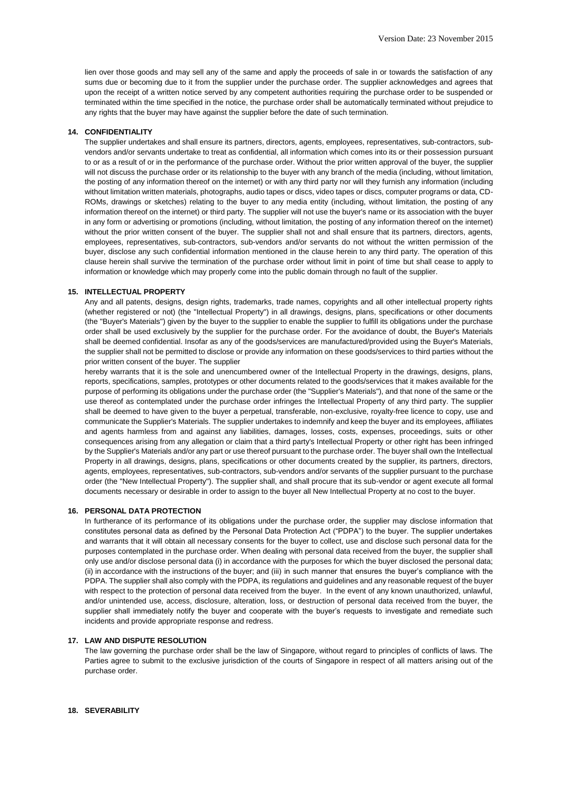lien over those goods and may sell any of the same and apply the proceeds of sale in or towards the satisfaction of any sums due or becoming due to it from the supplier under the purchase order. The supplier acknowledges and agrees that upon the receipt of a written notice served by any competent authorities requiring the purchase order to be suspended or terminated within the time specified in the notice, the purchase order shall be automatically terminated without prejudice to any rights that the buyer may have against the supplier before the date of such termination.

### **14. CONFIDENTIALITY**

The supplier undertakes and shall ensure its partners, directors, agents, employees, representatives, sub-contractors, subvendors and/or servants undertake to treat as confidential, all information which comes into its or their possession pursuant to or as a result of or in the performance of the purchase order. Without the prior written approval of the buyer, the supplier will not discuss the purchase order or its relationship to the buyer with any branch of the media (including, without limitation, the posting of any information thereof on the internet) or with any third party nor will they furnish any information (including without limitation written materials, photographs, audio tapes or discs, video tapes or discs, computer programs or data, CD-ROMs, drawings or sketches) relating to the buyer to any media entity (including, without limitation, the posting of any information thereof on the internet) or third party. The supplier will not use the buyer's name or its association with the buyer in any form or advertising or promotions (including, without limitation, the posting of any information thereof on the internet) without the prior written consent of the buyer. The supplier shall not and shall ensure that its partners, directors, agents, employees, representatives, sub-contractors, sub-vendors and/or servants do not without the written permission of the buyer, disclose any such confidential information mentioned in the clause herein to any third party. The operation of this clause herein shall survive the termination of the purchase order without limit in point of time but shall cease to apply to information or knowledge which may properly come into the public domain through no fault of the supplier.

## **15. INTELLECTUAL PROPERTY**

Any and all patents, designs, design rights, trademarks, trade names, copyrights and all other intellectual property rights (whether registered or not) (the "Intellectual Property") in all drawings, designs, plans, specifications or other documents (the "Buyer's Materials") given by the buyer to the supplier to enable the supplier to fulfill its obligations under the purchase order shall be used exclusively by the supplier for the purchase order. For the avoidance of doubt, the Buyer's Materials shall be deemed confidential. Insofar as any of the goods/services are manufactured/provided using the Buyer's Materials, the supplier shall not be permitted to disclose or provide any information on these goods/services to third parties without the prior written consent of the buyer. The supplier

hereby warrants that it is the sole and unencumbered owner of the Intellectual Property in the drawings, designs, plans, reports, specifications, samples, prototypes or other documents related to the goods/services that it makes available for the purpose of performing its obligations under the purchase order (the "Supplier's Materials"), and that none of the same or the use thereof as contemplated under the purchase order infringes the Intellectual Property of any third party. The supplier shall be deemed to have given to the buyer a perpetual, transferable, non-exclusive, royalty-free licence to copy, use and communicate the Supplier's Materials. The supplier undertakes to indemnify and keep the buyer and its employees, affiliates and agents harmless from and against any liabilities, damages, losses, costs, expenses, proceedings, suits or other consequences arising from any allegation or claim that a third party's Intellectual Property or other right has been infringed by the Supplier's Materials and/or any part or use thereof pursuant to the purchase order. The buyer shall own the Intellectual Property in all drawings, designs, plans, specifications or other documents created by the supplier, its partners, directors, agents, employees, representatives, sub-contractors, sub-vendors and/or servants of the supplier pursuant to the purchase order (the "New Intellectual Property"). The supplier shall, and shall procure that its sub-vendor or agent execute all formal documents necessary or desirable in order to assign to the buyer all New Intellectual Property at no cost to the buyer.

## **16. PERSONAL DATA PROTECTION**

In furtherance of its performance of its obligations under the purchase order, the supplier may disclose information that constitutes personal data as defined by the Personal Data Protection Act ("PDPA") to the buyer. The supplier undertakes and warrants that it will obtain all necessary consents for the buyer to collect, use and disclose such personal data for the purposes contemplated in the purchase order. When dealing with personal data received from the buyer, the supplier shall only use and/or disclose personal data (i) in accordance with the purposes for which the buyer disclosed the personal data; (ii) in accordance with the instructions of the buyer; and (iii) in such manner that ensures the buyer's compliance with the PDPA. The supplier shall also comply with the PDPA, its regulations and guidelines and any reasonable request of the buyer with respect to the protection of personal data received from the buyer. In the event of any known unauthorized, unlawful, and/or unintended use, access, disclosure, alteration, loss, or destruction of personal data received from the buyer, the supplier shall immediately notify the buyer and cooperate with the buyer's requests to investigate and remediate such incidents and provide appropriate response and redress.

## **17. LAW AND DISPUTE RESOLUTION**

The law governing the purchase order shall be the law of Singapore, without regard to principles of conflicts of laws. The Parties agree to submit to the exclusive jurisdiction of the courts of Singapore in respect of all matters arising out of the purchase order.